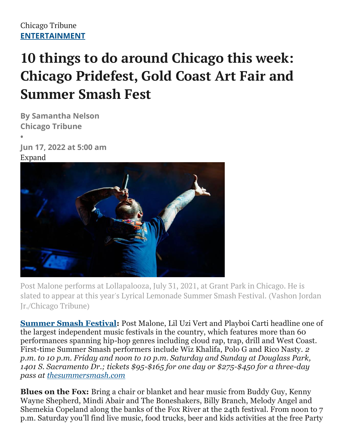## **10 things to do around Chicago this week: Chicago Pridefest, Gold Coast Art Fair and Summer Smash Fest**

**By Samantha Nelson Chicago Tribune •**

**Jun 17, 2022 at 5:00 am** Expand



Post Malone performs at Lollapalooza, July 31, 2021, at Grant Park in Chicago. He is slated to appear at this year's Lyrical Lemonade Summer Smash Festival. (Vashon Jordan Jr./Chicago Tribune)

**Summer Smash Festival:** Post Malone, Lil Uzi Vert and Playboi Carti headline one of the largest independent music festivals in the country, which features more than 60 performances spanning hip-hop genres including cloud rap, trap, drill and West Coast. First-time Summer Smash performers include Wiz Khalifa, Polo G and Rico Nasty. *2 p.m. to 10 p.m. Friday and noon to 10 p.m. Saturday and Sunday at Douglass Park, 1401 S. Sacramento Dr.; tickets \$95-\$165 for one day or \$275-\$450 for a three-day pass at thesummersmash.com*

**Blues on the Fox:** Bring a chair or blanket and hear music from Buddy Guy, Kenny Wayne Shepherd, Mindi Abair and The Boneshakers, Billy Branch, Melody Angel and Shemekia Copeland along the banks of the Fox River at the 24th festival. From noon to 7 p.m. Saturday you'll find live music, food trucks, beer and kids activities at the free Party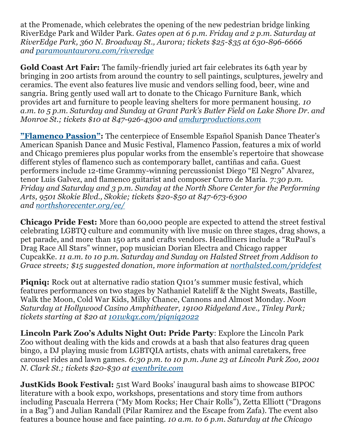at the Promenade, which celebrates the opening of the new pedestrian bridge linking RiverEdge Park and Wilder Park. *Gates open at 6 p.m. Friday and 2 p.m. Saturday at RiverEdge Park, 360 N. Broadway St., Aurora; tickets \$25-\$35 at 630-896-6666 and [paramountaurora.com/riveredge](https://paramountaurora.com/events/botf-2022/)*

**Gold Coast Art Fair:** The family-friendly juried art fair celebrates its 64th year by bringing in 200 artists from around the country to sell paintings, sculptures, jewelry and ceramics. The event also features live music and vendors selling food, beer, wine and sangria. Bring gently used wall art to donate to the Chicago Furniture Bank, which provides art and furniture to people leaving shelters for more permanent housing. *10 a.m. to 5 p.m. Saturday and Sunday at Grant Park's Butler Field on Lake Shore Dr. and Monroe St.; tickets \$10 at 847-926-4300 and [amdurproductions.com](https://amdurproductions.com/event/2022-gold-coast-art-fair/)*

**["Flamenco Passion"](https://www.chicagotribune.com/entertainment/theater/ct-ent-ensemble-espanol-spanish-dance-festival-20220608-xygp3iqylffnflaopsgkk2gbta-story.html):** The centerpiece of Ensemble Español Spanish Dance Theater's American Spanish Dance and Music Festival, Flamenco Passion, features a mix of world and Chicago premieres plus popular works from the ensemble's repertoire that showcase different styles of flamenco such as contemporary ballet, cantiñas and caña. Guest performers include 12-time Grammy-winning percussionist Diego "El Negro" Alvarez, tenor Luis Galvez, and flamenco guitarist and composer Curro de María. *7:30 p.m. Friday and Saturday and 3 p.m. Sunday at the North Shore Center for the Performing Arts, 9501 Skokie Blvd., Skokie; tickets \$20-\$50 at 847-673-6300 and [northshorecenter.org/ee/](http://northshorecenter.org/ee/)*

**Chicago Pride Fest:** More than 60,000 people are expected to attend the street festival celebrating LGBTQ culture and community with live music on three stages, drag shows, a pet parade, and more than 150 arts and crafts vendors. Headliners include a "RuPaul's Drag Race All Stars" winner, pop musician Dorian Electra and Chicago rapper CupcakKe. *11 a.m. to 10 p.m. Saturday and Sunday on Halsted Street from Addison to Grace streets; \$15 suggested donation, more information at [northalsted.com/pridefest](http://northalsted.com/pridefest)*

**Pignig:** Rock out at alternative radio station Q101's summer music festival, which features performances on two stages by Nathaniel Rateliff & the Night Sweats, Bastille, Walk the Moon, Cold War Kids, Milky Chance, Cannons and Almost Monday. *Noon Saturday at Hollywood Casino Amphitheater, 19100 Ridgeland Ave., Tinley Park; tickets starting at \$20 at [101wkqx.com/piqniq2022](http://101wkqx.com/piqniq2022)*

**Lincoln Park Zoo's Adults Night Out: Pride Party**: Explore the Lincoln Park Zoo without dealing with the kids and crowds at a bash that also features drag queen bingo, a DJ playing music from LGBTQIA artists, chats with animal caretakers, free carousel rides and lawn games. *6:30 p.m. to 10 p.m. June 23 at Lincoln Park Zoo, 2001 N. Clark St.; tickets \$20-\$30 at [eventbrite.com](https://www.eventbrite.com/e/lincoln-park-zoos-adults-night-out-pride-party-tickets-293465301617)*

**JustKids Book Festival:** 51st Ward Books' inaugural bash aims to showcase BIPOC literature with a book expo, workshops, presentations and story time from authors including Pascuala Herrera ("My Mom Rocks; Her Chair Rolls"), Zetta Elliott ("Dragons in a Bag") and Julian Randall (Pilar Ramirez and the Escape from Zafa). The event also features a bounce house and face painting. *10 a.m. to 6 p.m. Saturday at the Chicago*